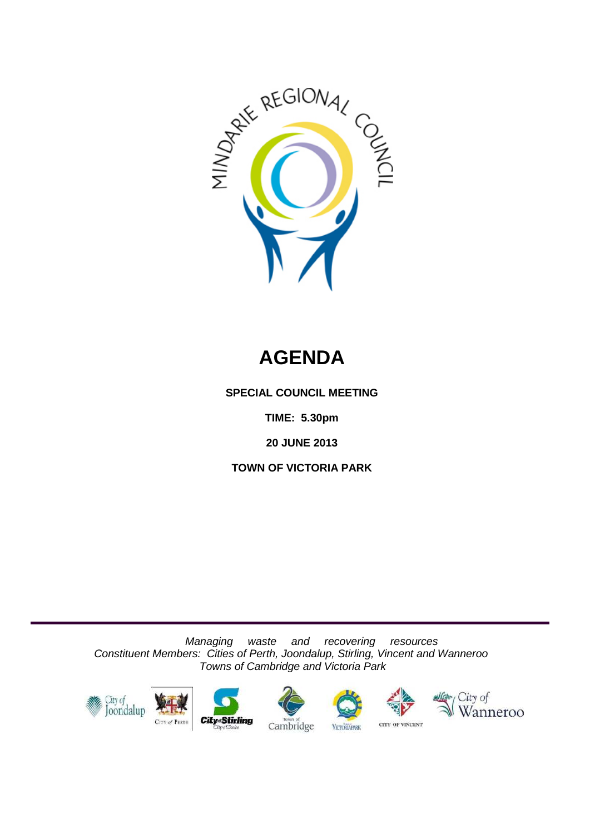

# **AGENDA**

**SPECIAL COUNCIL MEETING**

**TIME: 5.30pm**

**20 JUNE 2013**

**TOWN OF VICTORIA PARK**

*Managing waste and recovering resources Constituent Members: Cities of Perth, Joondalup, Stirling, Vincent and Wanneroo Towns of Cambridge and Victoria Park*











CITY OF VINCENT **VICTORIAPARK**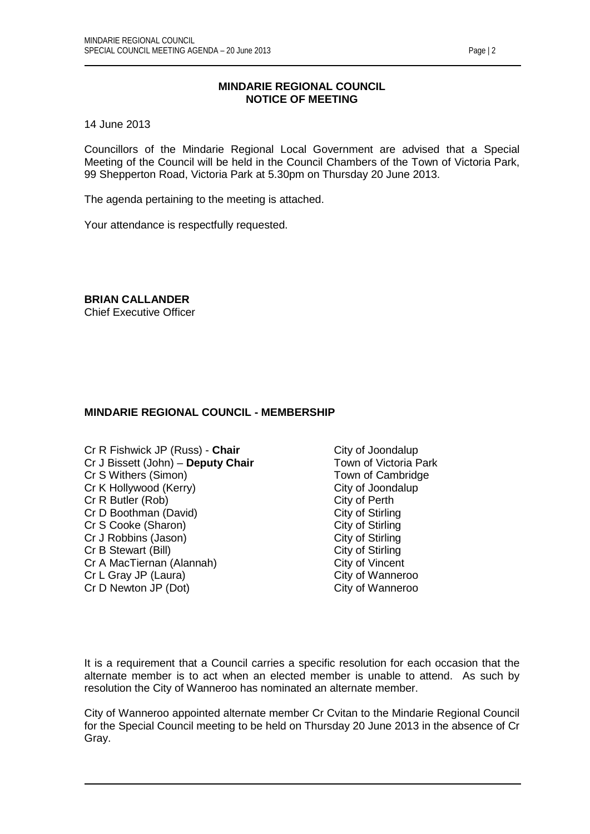# **MINDARIE REGIONAL COUNCIL NOTICE OF MEETING**

14 June 2013

Councillors of the Mindarie Regional Local Government are advised that a Special Meeting of the Council will be held in the Council Chambers of the Town of Victoria Park, 99 Shepperton Road, Victoria Park at 5.30pm on Thursday 20 June 2013.

The agenda pertaining to the meeting is attached.

Your attendance is respectfully requested.

**BRIAN CALLANDER**

Chief Executive Officer

# **MINDARIE REGIONAL COUNCIL - MEMBERSHIP**

- Cr R Fishwick JP (Russ) **Chair** Cr R Fishwick JP (Russ) **Chair** Cr J Dissett (John) **Deputy Chair** Cr J Down of Victoria Park Cr J Bissett (John) – **Deputy Chair** Town of Victoria Park Cr S Withers (Simon) Cr S Withers (Simon) Cr K Hollywood (Kerry) City of Joondalup Cr R Butler (Rob) City of Perth Cr D Boothman (David) City of Stirling Cr S Cooke (Sharon) City of Stirling<br>
Cr J Robbins (Jason) City of Stirling Cr J Robbins (Jason) Cr B Stewart (Bill) Cr B Stewart (Bill) Cr A MacTiernan (Alannah) City of Vincent Cr L Gray JP (Laura) City of Wanneroo Cr D Newton JP (Dot) City of Wanneroo
- 

It is a requirement that a Council carries a specific resolution for each occasion that the alternate member is to act when an elected member is unable to attend. As such by resolution the City of Wanneroo has nominated an alternate member.

City of Wanneroo appointed alternate member Cr Cvitan to the Mindarie Regional Council for the Special Council meeting to be held on Thursday 20 June 2013 in the absence of Cr Gray.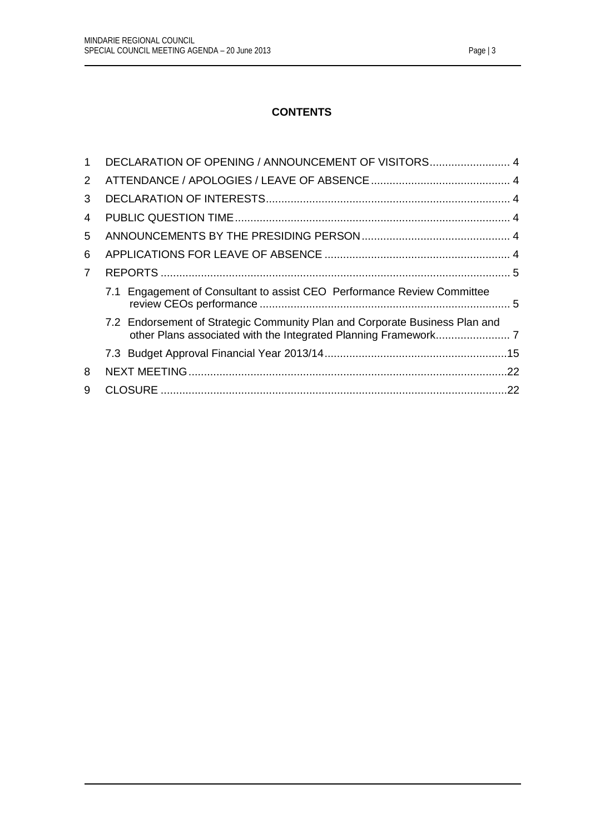# **CONTENTS**

|                | DECLARATION OF OPENING / ANNOUNCEMENT OF VISITORS 4                         |
|----------------|-----------------------------------------------------------------------------|
| 2              |                                                                             |
| 3              |                                                                             |
| 4              |                                                                             |
| 5              |                                                                             |
| 6              |                                                                             |
| $\overline{7}$ |                                                                             |
|                | 7.1 Engagement of Consultant to assist CEO Performance Review Committee     |
|                | 7.2 Endorsement of Strategic Community Plan and Corporate Business Plan and |
|                |                                                                             |
| 8              |                                                                             |
| 9              |                                                                             |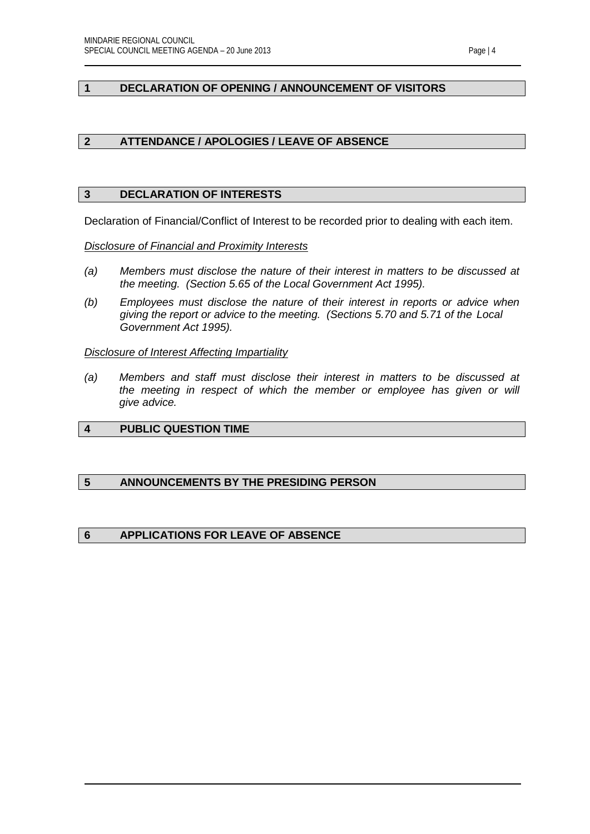# <span id="page-3-0"></span>**1 DECLARATION OF OPENING / ANNOUNCEMENT OF VISITORS**

# <span id="page-3-1"></span>**2 ATTENDANCE / APOLOGIES / LEAVE OF ABSENCE**

# <span id="page-3-2"></span>**3 DECLARATION OF INTERESTS**

Declaration of Financial/Conflict of Interest to be recorded prior to dealing with each item.

*Disclosure of Financial and Proximity Interests*

- *(a) Members must disclose the nature of their interest in matters to be discussed at the meeting. (Section 5.65 of the Local Government Act 1995).*
- *(b) Employees must disclose the nature of their interest in reports or advice when giving the report or advice to the meeting. (Sections 5.70 and 5.71 of the Local Government Act 1995).*

*Disclosure of Interest Affecting Impartiality*

*(a) Members and staff must disclose their interest in matters to be discussed at the meeting in respect of which the member or employee has given or will give advice.*

# <span id="page-3-3"></span>**4 PUBLIC QUESTION TIME**

# <span id="page-3-4"></span>**5 ANNOUNCEMENTS BY THE PRESIDING PERSON**

# <span id="page-3-5"></span>**6 APPLICATIONS FOR LEAVE OF ABSENCE**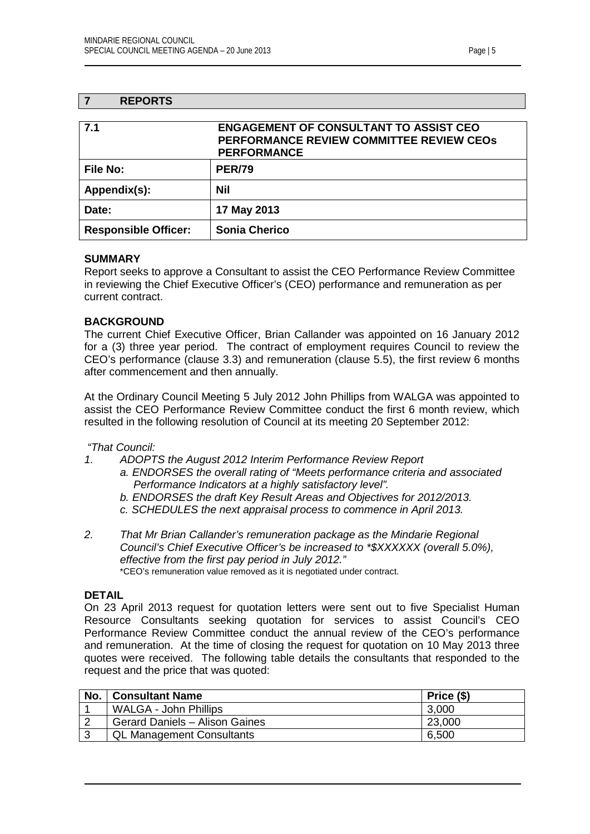# <span id="page-4-0"></span>**7 REPORTS**

<span id="page-4-1"></span>

| 7.1                         | <b>ENGAGEMENT OF CONSULTANT TO ASSIST CEO</b><br><b>PERFORMANCE REVIEW COMMITTEE REVIEW CEOS</b><br><b>PERFORMANCE</b> |
|-----------------------------|------------------------------------------------------------------------------------------------------------------------|
| <b>File No:</b>             | <b>PER/79</b>                                                                                                          |
| Appendix(s):                | Nil                                                                                                                    |
| Date:                       | 17 May 2013                                                                                                            |
| <b>Responsible Officer:</b> | <b>Sonia Cherico</b>                                                                                                   |

## **SUMMARY**

Report seeks to approve a Consultant to assist the CEO Performance Review Committee in reviewing the Chief Executive Officer's (CEO) performance and remuneration as per current contract.

## **BACKGROUND**

The current Chief Executive Officer, Brian Callander was appointed on 16 January 2012 for a (3) three year period. The contract of employment requires Council to review the CEO's performance (clause 3.3) and remuneration (clause 5.5), the first review 6 months after commencement and then annually.

At the Ordinary Council Meeting 5 July 2012 John Phillips from WALGA was appointed to assist the CEO Performance Review Committee conduct the first 6 month review, which resulted in the following resolution of Council at its meeting 20 September 2012:

*"That Council:*

- *1. ADOPTS the August 2012 Interim Performance Review Report*
	- *a. ENDORSES the overall rating of "Meets performance criteria and associated Performance Indicators at a highly satisfactory level".*
	- *b. ENDORSES the draft Key Result Areas and Objectives for 2012/2013.*
	- *c. SCHEDULES the next appraisal process to commence in April 2013.*
- *2. That Mr Brian Callander's remuneration package as the Mindarie Regional Council's Chief Executive Officer's be increased to \*\$XXXXXX (overall 5.0%), effective from the first pay period in July 2012."* \*CEO's remuneration value removed as it is negotiated under contract.

#### **DETAIL**

On 23 April 2013 request for quotation letters were sent out to five Specialist Human Resource Consultants seeking quotation for services to assist Council's CEO Performance Review Committee conduct the annual review of the CEO's performance and remuneration. At the time of closing the request for quotation on 10 May 2013 three quotes were received. The following table details the consultants that responded to the request and the price that was quoted:

| No. | <b>Consultant Name</b>           | Price (\$) |
|-----|----------------------------------|------------|
|     | WALGA - John Phillips            | 3,000      |
|     | Gerard Daniels - Alison Gaines   | 23,000     |
|     | <b>QL Management Consultants</b> | 6,500      |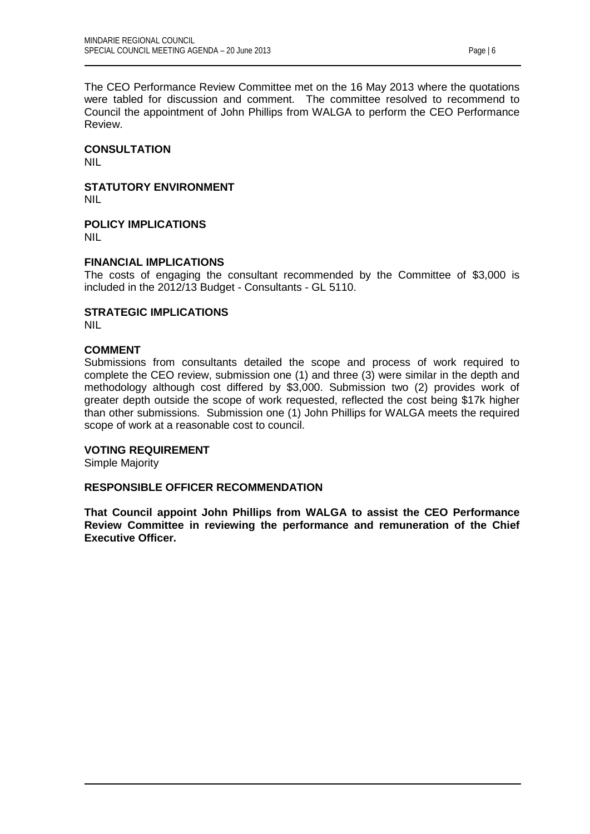The CEO Performance Review Committee met on the 16 May 2013 where the quotations were tabled for discussion and comment. The committee resolved to recommend to Council the appointment of John Phillips from WALGA to perform the CEO Performance Review.

**CONSULTATION**

NIL

**STATUTORY ENVIRONMENT** NIL

**POLICY IMPLICATIONS** NIL

# **FINANCIAL IMPLICATIONS**

The costs of engaging the consultant recommended by the Committee of \$3,000 is included in the 2012/13 Budget - Consultants - GL 5110.

**STRATEGIC IMPLICATIONS** NIL

# **COMMENT**

Submissions from consultants detailed the scope and process of work required to complete the CEO review, submission one (1) and three (3) were similar in the depth and methodology although cost differed by \$3,000. Submission two (2) provides work of greater depth outside the scope of work requested, reflected the cost being \$17k higher than other submissions. Submission one (1) John Phillips for WALGA meets the required scope of work at a reasonable cost to council.

#### **VOTING REQUIREMENT**

Simple Majority

#### **RESPONSIBLE OFFICER RECOMMENDATION**

**That Council appoint John Phillips from WALGA to assist the CEO Performance Review Committee in reviewing the performance and remuneration of the Chief Executive Officer.**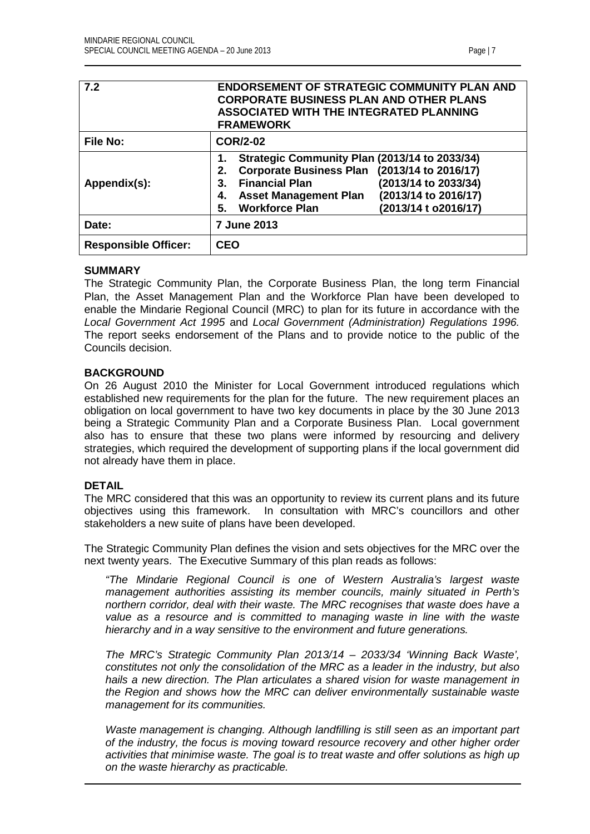<span id="page-6-0"></span>

| 7.2                         | <b>ENDORSEMENT OF STRATEGIC COMMUNITY PLAN AND</b><br><b>CORPORATE BUSINESS PLAN AND OTHER PLANS</b><br><b>ASSOCIATED WITH THE INTEGRATED PLANNING</b><br><b>FRAMEWORK</b>                                                                                                      |  |  |
|-----------------------------|---------------------------------------------------------------------------------------------------------------------------------------------------------------------------------------------------------------------------------------------------------------------------------|--|--|
| <b>File No:</b>             | <b>COR/2-02</b>                                                                                                                                                                                                                                                                 |  |  |
| Appendix(s):                | Strategic Community Plan (2013/14 to 2033/34)<br>Corporate Business Plan (2013/14 to 2016/17)<br>2.<br>(2013/14 to 2033/34)<br><b>Financial Plan</b><br>3.<br>(2013/14 to 2016/17)<br><b>Asset Management Plan</b><br>4.<br><b>Workforce Plan</b><br>(2013/14 t o2016/17)<br>5. |  |  |
| Date:                       | <b>7 June 2013</b>                                                                                                                                                                                                                                                              |  |  |
| <b>Responsible Officer:</b> | <b>CEO</b>                                                                                                                                                                                                                                                                      |  |  |

#### **SUMMARY**

The Strategic Community Plan, the Corporate Business Plan, the long term Financial Plan, the Asset Management Plan and the Workforce Plan have been developed to enable the Mindarie Regional Council (MRC) to plan for its future in accordance with the *Local Government Act 1995* and *Local Government (Administration) Regulations 1996.* The report seeks endorsement of the Plans and to provide notice to the public of the Councils decision.

# **BACKGROUND**

On 26 August 2010 the Minister for Local Government introduced regulations which established new requirements for the plan for the future. The new requirement places an obligation on local government to have two key documents in place by the 30 June 2013 being a Strategic Community Plan and a Corporate Business Plan. Local government also has to ensure that these two plans were informed by resourcing and delivery strategies, which required the development of supporting plans if the local government did not already have them in place.

# **DETAIL**

The MRC considered that this was an opportunity to review its current plans and its future objectives using this framework. In consultation with MRC's councillors and other stakeholders a new suite of plans have been developed.

The Strategic Community Plan defines the vision and sets objectives for the MRC over the next twenty years. The Executive Summary of this plan reads as follows:

*"The Mindarie Regional Council is one of Western Australia's largest waste management authorities assisting its member councils, mainly situated in Perth's northern corridor, deal with their waste. The MRC recognises that waste does have a value as a resource and is committed to managing waste in line with the waste hierarchy and in a way sensitive to the environment and future generations.*

*The MRC's Strategic Community Plan 2013/14 – 2033/34 'Winning Back Waste', constitutes not only the consolidation of the MRC as a leader in the industry, but also hails a new direction. The Plan articulates a shared vision for waste management in the Region and shows how the MRC can deliver environmentally sustainable waste management for its communities.*

*Waste management is changing. Although landfilling is still seen as an important part of the industry, the focus is moving toward resource recovery and other higher order activities that minimise waste. The goal is to treat waste and offer solutions as high up on the waste hierarchy as practicable.*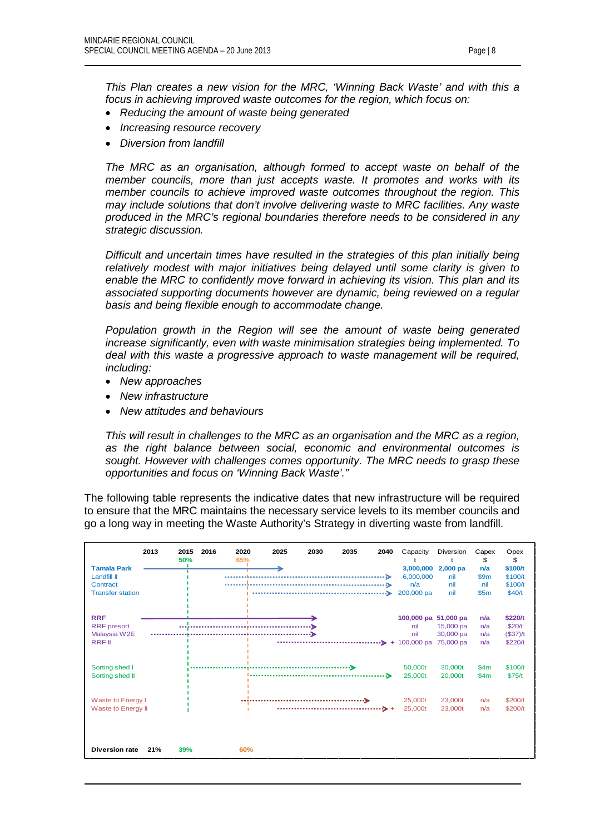*This Plan creates a new vision for the MRC, 'Winning Back Waste' and with this a focus in achieving improved waste outcomes for the region, which focus on:*

- *Reducing the amount of waste being generated*
- *Increasing resource recovery*
- *Diversion from landfill*

*The MRC as an organisation, although formed to accept waste on behalf of the member councils, more than just accepts waste. It promotes and works with its member councils to achieve improved waste outcomes throughout the region. This may include solutions that don't involve delivering waste to MRC facilities. Any waste produced in the MRC's regional boundaries therefore needs to be considered in any strategic discussion.*

*Difficult and uncertain times have resulted in the strategies of this plan initially being*  relatively modest with major initiatives being delayed until some clarity is given to *enable the MRC to confidently move forward in achieving its vision. This plan and its associated supporting documents however are dynamic, being reviewed on a regular basis and being flexible enough to accommodate change.* 

*Population growth in the Region will see the amount of waste being generated increase significantly, even with waste minimisation strategies being implemented. To deal with this waste a progressive approach to waste management will be required, including:*

- *New approaches*
- *New infrastructure*
- *New attitudes and behaviours*

*This will result in challenges to the MRC as an organisation and the MRC as a region, as the right balance between social, economic and environmental outcomes is sought. However with challenges comes opportunity. The MRC needs to grasp these opportunities and focus on 'Winning Back Waste'."*

The following table represents the indicative dates that new infrastructure will be required to ensure that the MRC maintains the necessary service levels to its member councils and go a long way in meeting the Waste Authority's Strategy in diverting waste from landfill.

|                         | 2013 | 2015<br>50% | 2016 | 2020<br>65% | 2025 | 2030 | 2035 | 2040            | Capacity             | Diversion  | Capex<br>\$ | Opex<br>\$ |
|-------------------------|------|-------------|------|-------------|------|------|------|-----------------|----------------------|------------|-------------|------------|
| <b>Tamala Park</b>      |      |             |      |             |      |      |      |                 | 3,000,000            | $2,000$ pa | n/a         | \$100/t    |
| <b>Landfill II</b>      |      |             |      |             |      |      |      | ⋗               | 6,000,000            | nil        | \$9m        | \$100/t    |
| Contract                |      |             |      |             |      |      |      | ∾               | n/a                  | nil        | nil         | \$100/t    |
| <b>Transfer station</b> |      |             |      |             |      |      |      | ⋗               | 200,000 pa           | nil        | \$5m        | \$40/t     |
| <b>RRF</b>              |      |             |      |             |      |      |      |                 | 100,000 pa 51,000 pa |            | n/a         | \$220/t    |
| <b>RRF</b> presort      |      |             |      |             |      |      |      |                 | nil                  | 15,000 pa  | n/a         | \$20/t     |
| Malaysia W2E            |      |             |      |             |      |      |      |                 | nil                  | 30,000 pa  | n/a         | $($37)$ /t |
| <b>RRF</b> II           |      |             |      |             |      |      |      | ∙><br>$+$       | 100,000 pa           | 75,000 pa  | n/a         | \$220/t    |
|                         |      |             |      |             |      |      |      |                 |                      |            |             |            |
| Sorting shed I          |      |             |      |             |      |      |      |                 | 50,000t              | 30,000t    | \$4m        | \$100/t    |
| Sorting shed II         |      |             |      |             |      |      |      | ۰D              | 25,000t              | 20,000t    | \$4m        | \$75/t     |
|                         |      |             |      |             |      |      |      |                 |                      |            |             |            |
| Waste to Energy I       |      |             |      |             |      |      |      |                 | 25,000t              | 23,000t    | n/a         | \$200/t    |
| Waste to Energy II      |      |             |      |             |      |      |      | $\rightarrow$ + | 25,000t              | 23,000t    | n/a         | \$200/t    |
| <b>Diversion rate</b>   | 21%  | 39%         |      | 60%         |      |      |      |                 |                      |            |             |            |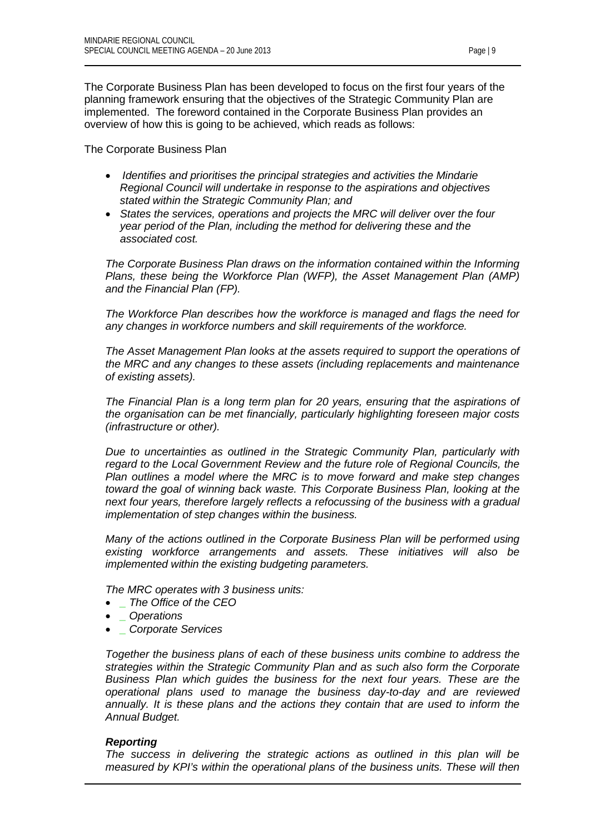The Corporate Business Plan has been developed to focus on the first four years of the planning framework ensuring that the objectives of the Strategic Community Plan are implemented. The foreword contained in the Corporate Business Plan provides an overview of how this is going to be achieved, which reads as follows:

The Corporate Business Plan

- *Identifies and prioritises the principal strategies and activities the Mindarie Regional Council will undertake in response to the aspirations and objectives stated within the Strategic Community Plan; and*
- *States the services, operations and projects the MRC will deliver over the four year period of the Plan, including the method for delivering these and the associated cost.*

*The Corporate Business Plan draws on the information contained within the Informing Plans, these being the Workforce Plan (WFP), the Asset Management Plan (AMP) and the Financial Plan (FP).*

*The Workforce Plan describes how the workforce is managed and flags the need for any changes in workforce numbers and skill requirements of the workforce.*

*The Asset Management Plan looks at the assets required to support the operations of the MRC and any changes to these assets (including replacements and maintenance of existing assets).*

*The Financial Plan is a long term plan for 20 years, ensuring that the aspirations of the organisation can be met financially, particularly highlighting foreseen major costs (infrastructure or other).*

*Due to uncertainties as outlined in the Strategic Community Plan, particularly with regard to the Local Government Review and the future role of Regional Councils, the Plan outlines a model where the MRC is to move forward and make step changes toward the goal of winning back waste. This Corporate Business Plan, looking at the next four years, therefore largely reflects a refocussing of the business with a gradual implementation of step changes within the business.*

*Many of the actions outlined in the Corporate Business Plan will be performed using existing workforce arrangements and assets. These initiatives will also be implemented within the existing budgeting parameters.*

*The MRC operates with 3 business units:*

- *\_ The Office of the CEO*
- *\_ Operations*
- *\_ Corporate Services*

*Together the business plans of each of these business units combine to address the strategies within the Strategic Community Plan and as such also form the Corporate Business Plan which guides the business for the next four years. These are the operational plans used to manage the business day-to-day and are reviewed annually. It is these plans and the actions they contain that are used to inform the Annual Budget.*

# *Reporting*

*The success in delivering the strategic actions as outlined in this plan will be measured by KPI's within the operational plans of the business units. These will then*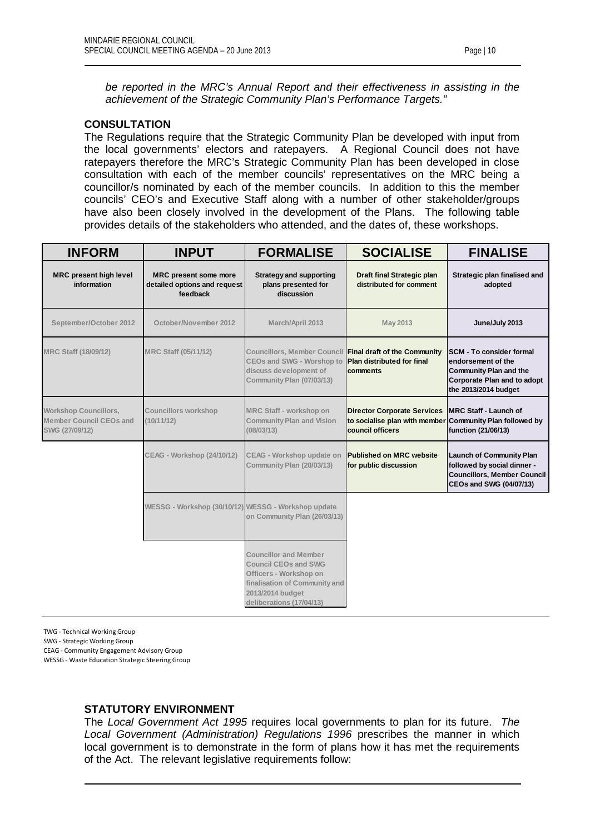*be reported in the MRC's Annual Report and their effectiveness in assisting in the achievement of the Strategic Community Plan's Performance Targets."*

# **CONSULTATION**

The Regulations require that the Strategic Community Plan be developed with input from the local governments' electors and ratepayers. A Regional Council does not have ratepayers therefore the MRC's Strategic Community Plan has been developed in close consultation with each of the member councils' representatives on the MRC being a councillor/s nominated by each of the member councils. In addition to this the member councils' CEO's and Executive Staff along with a number of other stakeholder/groups have also been closely involved in the development of the Plans. The following table provides details of the stakeholders who attended, and the dates of, these workshops.

| <b>INFORM</b>                                                                    | <b>INPUT</b>                                                             | <b>FORMALISE</b>                                                                                                                                                       | <b>SOCIALISE</b>                                                                                                   | <b>FINALISE</b>                                                                                                                                      |
|----------------------------------------------------------------------------------|--------------------------------------------------------------------------|------------------------------------------------------------------------------------------------------------------------------------------------------------------------|--------------------------------------------------------------------------------------------------------------------|------------------------------------------------------------------------------------------------------------------------------------------------------|
| <b>MRC present high level</b><br>information                                     | <b>MRC</b> present some more<br>detailed options and request<br>feedback | <b>Strategy and supporting</b><br>plans presented for<br>discussion                                                                                                    | Draft final Strategic plan<br>distributed for comment                                                              | Strategic plan finalised and<br>adopted                                                                                                              |
| September/October 2012                                                           | October/November 2012                                                    | March/April 2013                                                                                                                                                       | <b>May 2013</b>                                                                                                    | June/July 2013                                                                                                                                       |
| <b>MRC Staff (18/09/12)</b>                                                      | <b>MRC Staff (05/11/12)</b>                                              | Councillors, Member Council Final draft of the Community<br>CEOs and SWG - Worshop to<br>discuss development of<br>Community Plan (07/03/13)                           | <b>Plan distributed for final</b><br>comments                                                                      | <b>SCM - To consider formal</b><br>endorsement of the<br><b>Community Plan and the</b><br><b>Corporate Plan and to adopt</b><br>the 2013/2014 budget |
| <b>Workshop Councillors,</b><br><b>Member Council CEOs and</b><br>SWG (27/09/12) | <b>Councillors workshop</b><br>(10/11/12)                                | MRC Staff - workshop on<br><b>Community Plan and Vision</b><br>(08/03/13)                                                                                              | <b>Director Corporate Services</b><br>to socialise plan with member Community Plan followed by<br>council officers | <b>IMRC Staff - Launch of</b><br>function (21/06/13)                                                                                                 |
|                                                                                  | <b>CEAG - Workshop (24/10/12)</b>                                        | CEAG - Workshop update on<br>Community Plan (20/03/13)                                                                                                                 | <b>Published on MRC website</b><br>for public discussion                                                           | <b>Launch of Community Plan</b><br>followed by social dinner -<br><b>Councillors, Member Council</b><br><b>CEOs and SWG (04/07/13)</b>               |
|                                                                                  | WESSG - Workshop (30/10/12) WESSG - Workshop update                      | on Community Plan (26/03/13)                                                                                                                                           |                                                                                                                    |                                                                                                                                                      |
|                                                                                  |                                                                          | <b>Councillor and Member</b><br><b>Council CEOs and SWG</b><br>Officers - Workshop on<br>finalisation of Community and<br>2013/2014 budget<br>deliberations (17/04/13) |                                                                                                                    |                                                                                                                                                      |

TWG - Technical Working Group

SWG - Strategic Working Group

CEAG - Community Engagement Advisory Group

WESSG - Waste Education Strategic Steering Group

#### **STATUTORY ENVIRONMENT**

The *Local Government Act 1995* requires local governments to plan for its future. *The Local Government (Administration) Regulations 1996* prescribes the manner in which local government is to demonstrate in the form of plans how it has met the requirements of the Act. The relevant legislative requirements follow: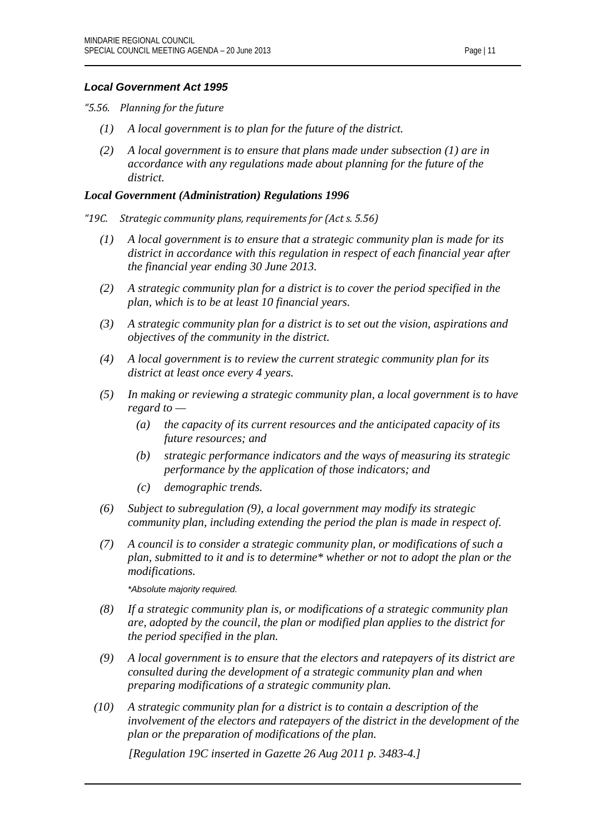# *Local Government Act 1995*

*"5.56. Planning for the future*

- *(1) A local government is to plan for the future of the district.*
- *(2) A local government is to ensure that plans made under subsection (1) are in accordance with any regulations made about planning for the future of the district.*

# *Local Government (Administration) Regulations 1996*

- *"19C. Strategic community plans, requirements for (Act s. 5.56)*
	- *(1) A local government is to ensure that a strategic community plan is made for its district in accordance with this regulation in respect of each financial year after the financial year ending 30 June 2013.*
	- *(2) A strategic community plan for a district is to cover the period specified in the plan, which is to be at least 10 financial years.*
	- *(3) A strategic community plan for a district is to set out the vision, aspirations and objectives of the community in the district.*
	- *(4) A local government is to review the current strategic community plan for its district at least once every 4 years.*
	- *(5) In making or reviewing a strategic community plan, a local government is to have regard to —*
		- *(a) the capacity of its current resources and the anticipated capacity of its future resources; and*
		- *(b) strategic performance indicators and the ways of measuring its strategic performance by the application of those indicators; and*
		- *(c) demographic trends.*
	- *(6) Subject to subregulation (9), a local government may modify its strategic community plan, including extending the period the plan is made in respect of.*
	- *(7) A council is to consider a strategic community plan, or modifications of such a plan, submitted to it and is to determine\* whether or not to adopt the plan or the modifications.*

*\*Absolute majority required.*

- *(8) If a strategic community plan is, or modifications of a strategic community plan are, adopted by the council, the plan or modified plan applies to the district for the period specified in the plan.*
- *(9) A local government is to ensure that the electors and ratepayers of its district are consulted during the development of a strategic community plan and when preparing modifications of a strategic community plan.*
- *(10) A strategic community plan for a district is to contain a description of the involvement of the electors and ratepayers of the district in the development of the plan or the preparation of modifications of the plan.*

*[Regulation 19C inserted in Gazette 26 Aug 2011 p. 3483-4.]*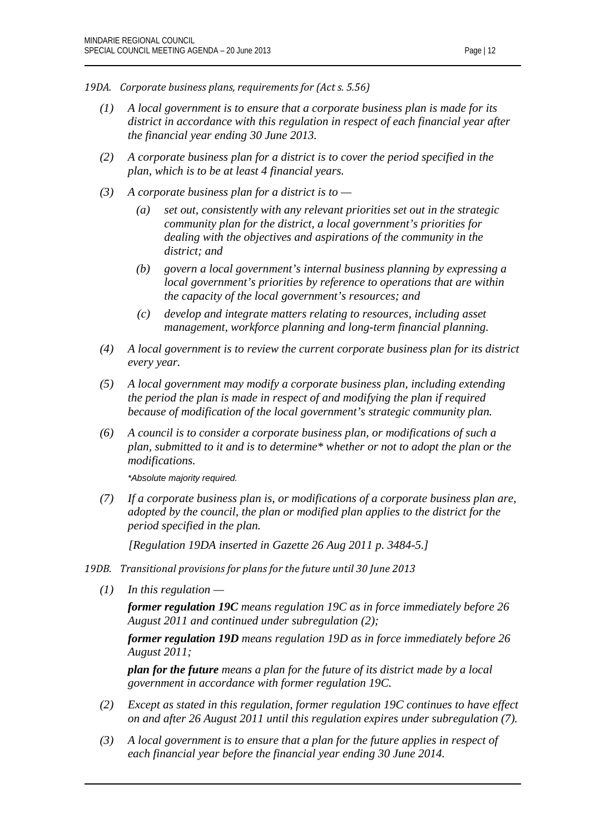- *19DA. Corporate business plans, requirements for (Act s. 5.56)*
	- *(1) A local government is to ensure that a corporate business plan is made for its district in accordance with this regulation in respect of each financial year after the financial year ending 30 June 2013.*
	- *(2) A corporate business plan for a district is to cover the period specified in the plan, which is to be at least 4 financial years.*
	- *(3) A corporate business plan for a district is to —*
		- *(a) set out, consistently with any relevant priorities set out in the strategic community plan for the district, a local government's priorities for dealing with the objectives and aspirations of the community in the district; and*
		- *(b) govern a local government's internal business planning by expressing a local government's priorities by reference to operations that are within the capacity of the local government's resources; and*
		- *(c) develop and integrate matters relating to resources, including asset management, workforce planning and long-term financial planning.*
	- *(4) A local government is to review the current corporate business plan for its district every year.*
	- *(5) A local government may modify a corporate business plan, including extending the period the plan is made in respect of and modifying the plan if required because of modification of the local government's strategic community plan.*
	- *(6) A council is to consider a corporate business plan, or modifications of such a plan, submitted to it and is to determine\* whether or not to adopt the plan or the modifications.*

*\*Absolute majority required.*

*(7) If a corporate business plan is, or modifications of a corporate business plan are, adopted by the council, the plan or modified plan applies to the district for the period specified in the plan.*

*[Regulation 19DA inserted in Gazette 26 Aug 2011 p. 3484-5.]*

- *19DB. Transitional provisions for plans for the future until 30 June 2013*
	- *(1) In this regulation —*

*former regulation 19C means regulation 19C as in force immediately before 26 August 2011 and continued under subregulation (2);*

*former regulation 19D means regulation 19D as in force immediately before 26 August 2011;*

*plan for the future means a plan for the future of its district made by a local government in accordance with former regulation 19C.*

- *(2) Except as stated in this regulation, former regulation 19C continues to have effect on and after 26 August 2011 until this regulation expires under subregulation (7).*
- *(3) A local government is to ensure that a plan for the future applies in respect of each financial year before the financial year ending 30 June 2014.*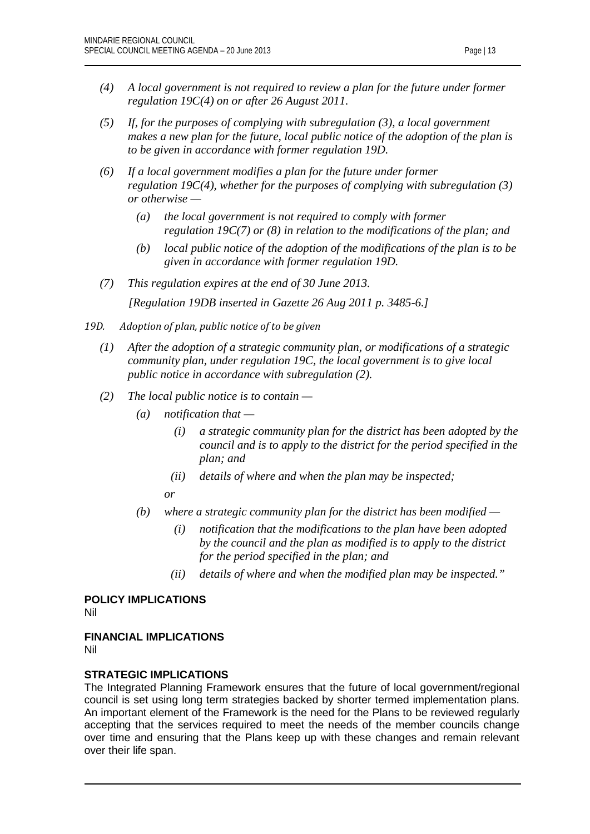- *(4) A local government is not required to review a plan for the future under former regulation 19C(4) on or after 26 August 2011.*
- *(5) If, for the purposes of complying with subregulation (3), a local government makes a new plan for the future, local public notice of the adoption of the plan is to be given in accordance with former regulation 19D.*
- *(6) If a local government modifies a plan for the future under former regulation 19C(4), whether for the purposes of complying with subregulation (3) or otherwise —*
	- *(a) the local government is not required to comply with former regulation 19C(7) or (8) in relation to the modifications of the plan; and*
	- *(b) local public notice of the adoption of the modifications of the plan is to be given in accordance with former regulation 19D.*
- *(7) This regulation expires at the end of 30 June 2013.*

*[Regulation 19DB inserted in Gazette 26 Aug 2011 p. 3485-6.]*

- *19D. Adoption of plan, public notice of to be given*
	- *(1) After the adoption of a strategic community plan, or modifications of a strategic community plan, under regulation 19C, the local government is to give local public notice in accordance with subregulation (2).*
	- *(2) The local public notice is to contain —*
		- *(a) notification that —*
			- *(i) a strategic community plan for the district has been adopted by the council and is to apply to the district for the period specified in the plan; and*
			- *(ii) details of where and when the plan may be inspected;*
			- *or*
		- *(b) where a strategic community plan for the district has been modified —*
			- *(i) notification that the modifications to the plan have been adopted by the council and the plan as modified is to apply to the district for the period specified in the plan; and*
			- *(ii) details of where and when the modified plan may be inspected."*

**POLICY IMPLICATIONS** Nil

# **FINANCIAL IMPLICATIONS**

Nil

# **STRATEGIC IMPLICATIONS**

The Integrated Planning Framework ensures that the future of local government/regional council is set using long term strategies backed by shorter termed implementation plans. An important element of the Framework is the need for the Plans to be reviewed regularly accepting that the services required to meet the needs of the member councils change over time and ensuring that the Plans keep up with these changes and remain relevant over their life span.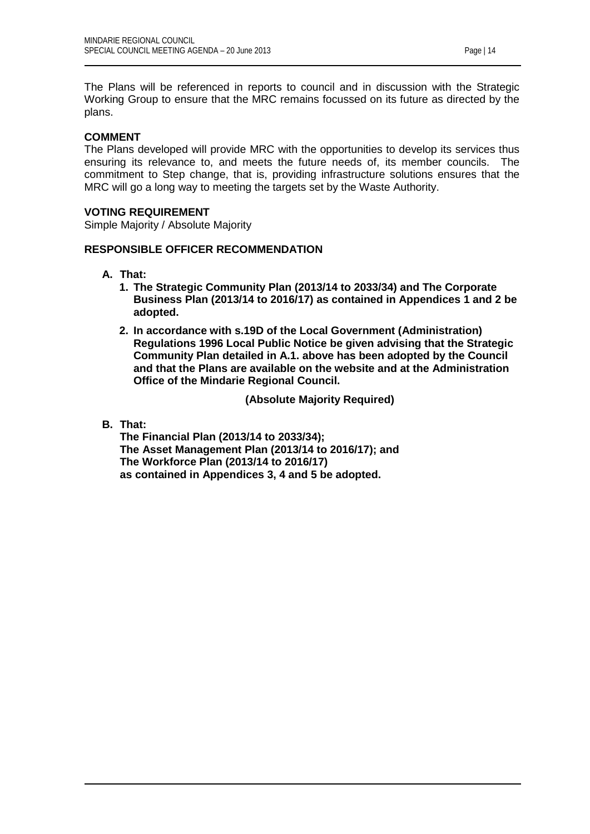The Plans will be referenced in reports to council and in discussion with the Strategic Working Group to ensure that the MRC remains focussed on its future as directed by the plans.

# **COMMENT**

The Plans developed will provide MRC with the opportunities to develop its services thus ensuring its relevance to, and meets the future needs of, its member councils. The commitment to Step change, that is, providing infrastructure solutions ensures that the MRC will go a long way to meeting the targets set by the Waste Authority.

# **VOTING REQUIREMENT**

Simple Majority / Absolute Majority

## **RESPONSIBLE OFFICER RECOMMENDATION**

- **A. That:**
	- **1. The Strategic Community Plan (2013/14 to 2033/34) and The Corporate Business Plan (2013/14 to 2016/17) as contained in Appendices 1 and 2 be adopted.**
	- **2. In accordance with s.19D of the Local Government (Administration) Regulations 1996 Local Public Notice be given advising that the Strategic Community Plan detailed in A.1. above has been adopted by the Council and that the Plans are available on the website and at the Administration Office of the Mindarie Regional Council.**

**(Absolute Majority Required)**

# **B. That:**

**The Financial Plan (2013/14 to 2033/34); The Asset Management Plan (2013/14 to 2016/17); and The Workforce Plan (2013/14 to 2016/17) as contained in Appendices 3, 4 and 5 be adopted.**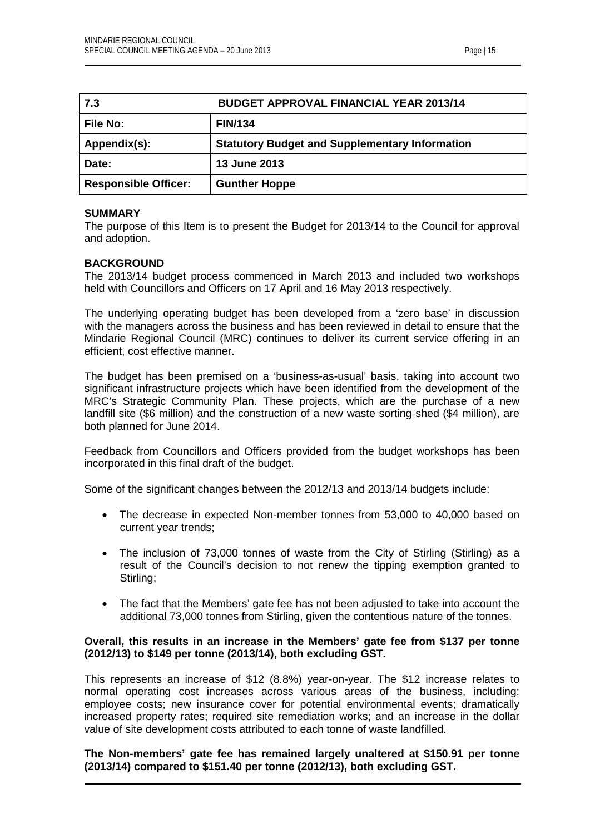<span id="page-14-0"></span>

| 7.3                         | <b>BUDGET APPROVAL FINANCIAL YEAR 2013/14</b>         |
|-----------------------------|-------------------------------------------------------|
| <b>File No:</b>             | <b>FIN/134</b>                                        |
| Appendix(s):                | <b>Statutory Budget and Supplementary Information</b> |
| Date:                       | 13 June 2013                                          |
| <b>Responsible Officer:</b> | <b>Gunther Hoppe</b>                                  |

#### **SUMMARY**

The purpose of this Item is to present the Budget for 2013/14 to the Council for approval and adoption.

#### **BACKGROUND**

The 2013/14 budget process commenced in March 2013 and included two workshops held with Councillors and Officers on 17 April and 16 May 2013 respectively.

The underlying operating budget has been developed from a 'zero base' in discussion with the managers across the business and has been reviewed in detail to ensure that the Mindarie Regional Council (MRC) continues to deliver its current service offering in an efficient, cost effective manner.

The budget has been premised on a 'business-as-usual' basis, taking into account two significant infrastructure projects which have been identified from the development of the MRC's Strategic Community Plan. These projects, which are the purchase of a new landfill site (\$6 million) and the construction of a new waste sorting shed (\$4 million), are both planned for June 2014.

Feedback from Councillors and Officers provided from the budget workshops has been incorporated in this final draft of the budget.

Some of the significant changes between the 2012/13 and 2013/14 budgets include:

- The decrease in expected Non-member tonnes from 53,000 to 40,000 based on current year trends;
- The inclusion of 73,000 tonnes of waste from the City of Stirling (Stirling) as a result of the Council's decision to not renew the tipping exemption granted to Stirling;
- The fact that the Members' gate fee has not been adjusted to take into account the additional 73,000 tonnes from Stirling, given the contentious nature of the tonnes.

#### **Overall, this results in an increase in the Members' gate fee from \$137 per tonne (2012/13) to \$149 per tonne (2013/14), both excluding GST.**

This represents an increase of \$12 (8.8%) year-on-year. The \$12 increase relates to normal operating cost increases across various areas of the business, including: employee costs; new insurance cover for potential environmental events; dramatically increased property rates; required site remediation works; and an increase in the dollar value of site development costs attributed to each tonne of waste landfilled.

**The Non-members' gate fee has remained largely unaltered at \$150.91 per tonne (2013/14) compared to \$151.40 per tonne (2012/13), both excluding GST.**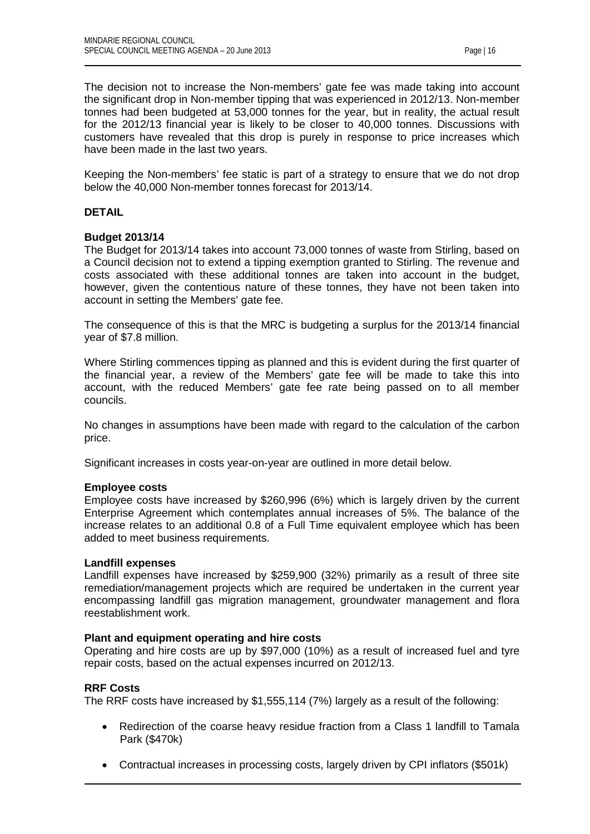The decision not to increase the Non-members' gate fee was made taking into account the significant drop in Non-member tipping that was experienced in 2012/13. Non-member tonnes had been budgeted at 53,000 tonnes for the year, but in reality, the actual result for the 2012/13 financial year is likely to be closer to 40,000 tonnes. Discussions with customers have revealed that this drop is purely in response to price increases which have been made in the last two years.

Keeping the Non-members' fee static is part of a strategy to ensure that we do not drop below the 40,000 Non-member tonnes forecast for 2013/14.

# **DETAIL**

## **Budget 2013/14**

The Budget for 2013/14 takes into account 73,000 tonnes of waste from Stirling, based on a Council decision not to extend a tipping exemption granted to Stirling. The revenue and costs associated with these additional tonnes are taken into account in the budget, however, given the contentious nature of these tonnes, they have not been taken into account in setting the Members' gate fee.

The consequence of this is that the MRC is budgeting a surplus for the 2013/14 financial year of \$7.8 million.

Where Stirling commences tipping as planned and this is evident during the first quarter of the financial year, a review of the Members' gate fee will be made to take this into account, with the reduced Members' gate fee rate being passed on to all member councils.

No changes in assumptions have been made with regard to the calculation of the carbon price.

Significant increases in costs year-on-year are outlined in more detail below.

#### **Employee costs**

Employee costs have increased by \$260,996 (6%) which is largely driven by the current Enterprise Agreement which contemplates annual increases of 5%. The balance of the increase relates to an additional 0.8 of a Full Time equivalent employee which has been added to meet business requirements.

#### **Landfill expenses**

Landfill expenses have increased by \$259,900 (32%) primarily as a result of three site remediation/management projects which are required be undertaken in the current year encompassing landfill gas migration management, groundwater management and flora reestablishment work.

#### **Plant and equipment operating and hire costs**

Operating and hire costs are up by \$97,000 (10%) as a result of increased fuel and tyre repair costs, based on the actual expenses incurred on 2012/13.

#### **RRF Costs**

The RRF costs have increased by \$1,555,114 (7%) largely as a result of the following:

- Redirection of the coarse heavy residue fraction from a Class 1 landfill to Tamala Park (\$470k)
- Contractual increases in processing costs, largely driven by CPI inflators (\$501k)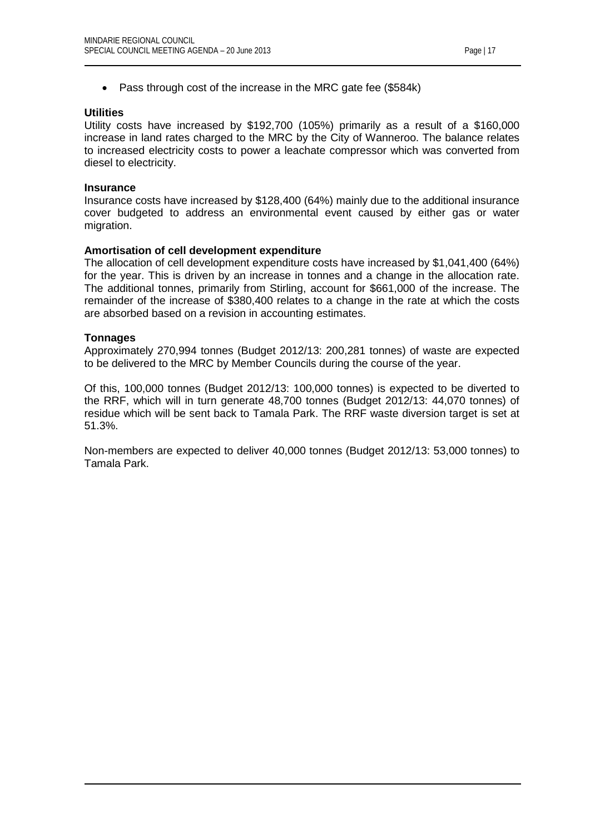• Pass through cost of the increase in the MRC gate fee (\$584k)

#### **Utilities**

Utility costs have increased by \$192,700 (105%) primarily as a result of a \$160,000 increase in land rates charged to the MRC by the City of Wanneroo. The balance relates to increased electricity costs to power a leachate compressor which was converted from diesel to electricity.

#### **Insurance**

Insurance costs have increased by \$128,400 (64%) mainly due to the additional insurance cover budgeted to address an environmental event caused by either gas or water migration.

#### **Amortisation of cell development expenditure**

The allocation of cell development expenditure costs have increased by \$1,041,400 (64%) for the year. This is driven by an increase in tonnes and a change in the allocation rate. The additional tonnes, primarily from Stirling, account for \$661,000 of the increase. The remainder of the increase of \$380,400 relates to a change in the rate at which the costs are absorbed based on a revision in accounting estimates.

#### **Tonnages**

Approximately 270,994 tonnes (Budget 2012/13: 200,281 tonnes) of waste are expected to be delivered to the MRC by Member Councils during the course of the year.

Of this, 100,000 tonnes (Budget 2012/13: 100,000 tonnes) is expected to be diverted to the RRF, which will in turn generate 48,700 tonnes (Budget 2012/13: 44,070 tonnes) of residue which will be sent back to Tamala Park. The RRF waste diversion target is set at 51.3%.

Non-members are expected to deliver 40,000 tonnes (Budget 2012/13: 53,000 tonnes) to Tamala Park.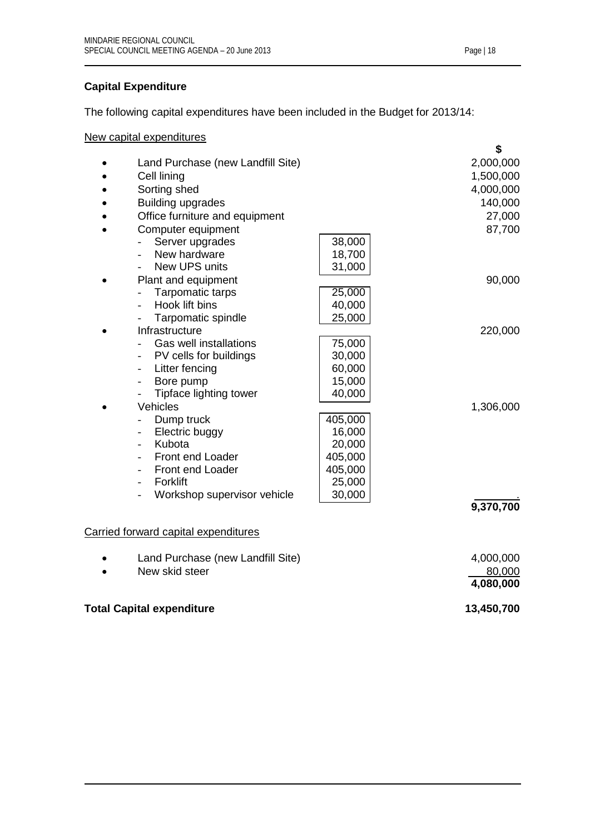# **Capital Expenditure**

The following capital expenditures have been included in the Budget for 2013/14:

New capital expenditures

|                                         |         | \$         |  |
|-----------------------------------------|---------|------------|--|
| Land Purchase (new Landfill Site)       |         | 2,000,000  |  |
| Cell lining                             |         | 1,500,000  |  |
| Sorting shed                            |         | 4,000,000  |  |
| <b>Building upgrades</b>                |         | 140,000    |  |
| Office furniture and equipment          |         | 27,000     |  |
| Computer equipment                      |         | 87,700     |  |
| Server upgrades                         | 38,000  |            |  |
| New hardware                            | 18,700  |            |  |
| New UPS units                           | 31,000  |            |  |
| Plant and equipment                     |         | 90,000     |  |
| Tarpomatic tarps                        | 25,000  |            |  |
| Hook lift bins                          | 40,000  |            |  |
| Tarpomatic spindle                      | 25,000  |            |  |
| Infrastructure                          |         | 220,000    |  |
| Gas well installations                  | 75,000  |            |  |
| PV cells for buildings                  | 30,000  |            |  |
| Litter fencing                          | 60,000  |            |  |
| Bore pump<br>$\overline{\phantom{0}}$   | 15,000  |            |  |
| Tipface lighting tower<br>$\frac{1}{2}$ | 40,000  |            |  |
| Vehicles                                |         | 1,306,000  |  |
| Dump truck                              | 405,000 |            |  |
| Electric buggy                          | 16,000  |            |  |
| Kubota                                  | 20,000  |            |  |
| Front end Loader                        | 405,000 |            |  |
| Front end Loader                        | 405,000 |            |  |
| Forklift                                | 25,000  |            |  |
| Workshop supervisor vehicle             | 30,000  |            |  |
|                                         |         | 9,370,700  |  |
|                                         |         |            |  |
| Carried forward capital expenditures    |         |            |  |
|                                         |         |            |  |
| Land Purchase (new Landfill Site)       |         | 4,000,000  |  |
| New skid steer                          |         | 80,000     |  |
|                                         |         | 4,080,000  |  |
|                                         |         | 13,450,700 |  |
| <b>Total Capital expenditure</b>        |         |            |  |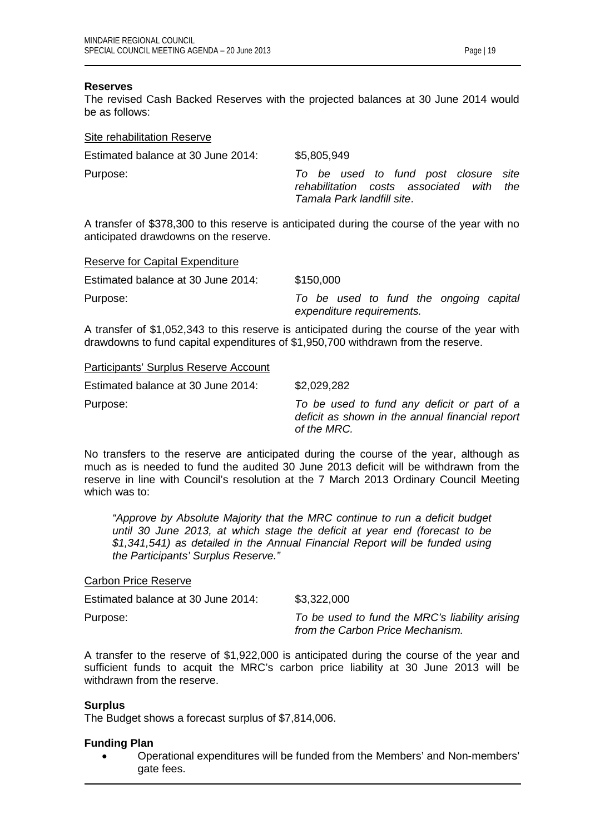Participants' Surplus Reserve Account

#### **Reserves**

The revised Cash Backed Reserves with the projected balances at 30 June 2014 would be as follows:

| Site rehabilitation Reserve        |                                                                                                                   |
|------------------------------------|-------------------------------------------------------------------------------------------------------------------|
| Estimated balance at 30 June 2014: | \$5,805,949                                                                                                       |
| Purpose:                           | To be used to fund post closure site<br>rehabilitation costs associated with<br>the<br>Tamala Park landfill site. |

A transfer of \$378,300 to this reserve is anticipated during the course of the year with no anticipated drawdowns on the reserve.

| Reserve for Capital Expenditure    |                                        |
|------------------------------------|----------------------------------------|
| Estimated balance at 30 June 2014: | \$150,000                              |
| Purpose:                           | To be used to fund the ongoing capital |
|                                    | expenditure requirements.              |

A transfer of \$1,052,343 to this reserve is anticipated during the course of the year with drawdowns to fund capital expenditures of \$1,950,700 withdrawn from the reserve.

| Estimated balance at 30 June 2014: | \$2,029,282                                                                                                   |
|------------------------------------|---------------------------------------------------------------------------------------------------------------|
| Purpose:                           | To be used to fund any deficit or part of a<br>deficit as shown in the annual financial report<br>of the MRC. |

No transfers to the reserve are anticipated during the course of the year, although as much as is needed to fund the audited 30 June 2013 deficit will be withdrawn from the reserve in line with Council's resolution at the 7 March 2013 Ordinary Council Meeting which was to:

*"Approve by Absolute Majority that the MRC continue to run a deficit budget until 30 June 2013, at which stage the deficit at year end (forecast to be \$1,341,541) as detailed in the Annual Financial Report will be funded using the Participants' Surplus Reserve."*

#### Carbon Price Reserve

Estimated balance at 30 June 2014: \$3,322,000 Purpose: *To be used to fund the MRC's liability arising from the Carbon Price Mechanism.*

A transfer to the reserve of \$1,922,000 is anticipated during the course of the year and sufficient funds to acquit the MRC's carbon price liability at 30 June 2013 will be withdrawn from the reserve.

#### **Surplus**

The Budget shows a forecast surplus of \$7,814,006.

# **Funding Plan**

• Operational expenditures will be funded from the Members' and Non-members' gate fees.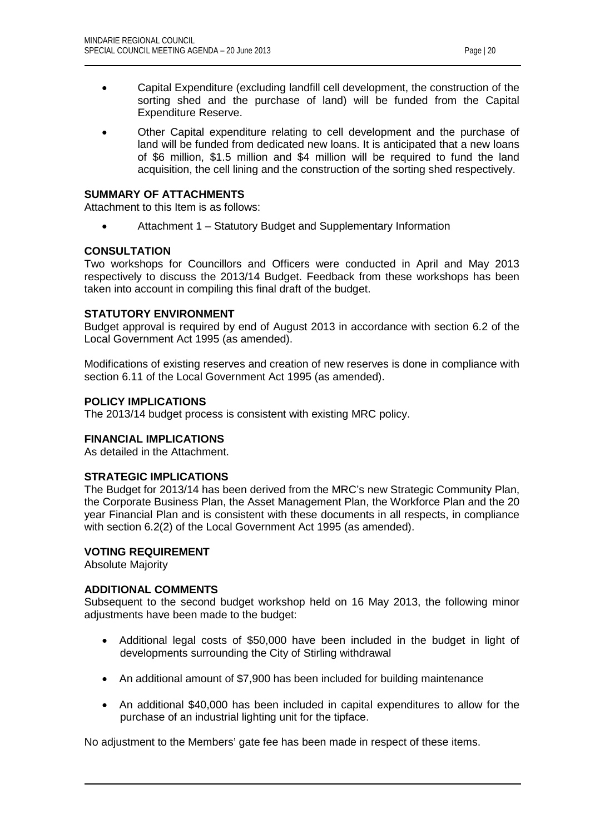- Capital Expenditure (excluding landfill cell development, the construction of the sorting shed and the purchase of land) will be funded from the Capital Expenditure Reserve.
- Other Capital expenditure relating to cell development and the purchase of land will be funded from dedicated new loans. It is anticipated that a new loans of \$6 million, \$1.5 million and \$4 million will be required to fund the land acquisition, the cell lining and the construction of the sorting shed respectively.

## **SUMMARY OF ATTACHMENTS**

Attachment to this Item is as follows:

• Attachment 1 – Statutory Budget and Supplementary Information

# **CONSULTATION**

Two workshops for Councillors and Officers were conducted in April and May 2013 respectively to discuss the 2013/14 Budget. Feedback from these workshops has been taken into account in compiling this final draft of the budget.

## **STATUTORY ENVIRONMENT**

Budget approval is required by end of August 2013 in accordance with section 6.2 of the Local Government Act 1995 (as amended).

Modifications of existing reserves and creation of new reserves is done in compliance with section 6.11 of the Local Government Act 1995 (as amended).

## **POLICY IMPLICATIONS**

The 2013/14 budget process is consistent with existing MRC policy.

# **FINANCIAL IMPLICATIONS**

As detailed in the Attachment.

# **STRATEGIC IMPLICATIONS**

The Budget for 2013/14 has been derived from the MRC's new Strategic Community Plan, the Corporate Business Plan, the Asset Management Plan, the Workforce Plan and the 20 year Financial Plan and is consistent with these documents in all respects, in compliance with section 6.2(2) of the Local Government Act 1995 (as amended).

#### **VOTING REQUIREMENT**

Absolute Majority

# **ADDITIONAL COMMENTS**

Subsequent to the second budget workshop held on 16 May 2013, the following minor adjustments have been made to the budget:

- Additional legal costs of \$50,000 have been included in the budget in light of developments surrounding the City of Stirling withdrawal
- An additional amount of \$7,900 has been included for building maintenance
- An additional \$40,000 has been included in capital expenditures to allow for the purchase of an industrial lighting unit for the tipface.

No adjustment to the Members' gate fee has been made in respect of these items.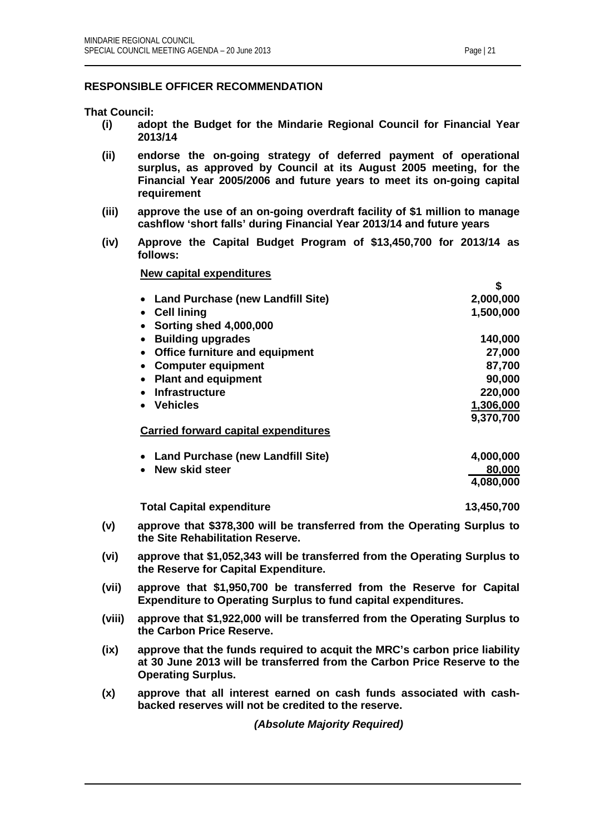# **RESPONSIBLE OFFICER RECOMMENDATION**

**That Council:**

- **(i) adopt the Budget for the Mindarie Regional Council for Financial Year 2013/14**
- **(ii) endorse the on-going strategy of deferred payment of operational surplus, as approved by Council at its August 2005 meeting, for the Financial Year 2005/2006 and future years to meet its on-going capital requirement**
- **(iii) approve the use of an on-going overdraft facility of \$1 million to manage cashflow 'short falls' during Financial Year 2013/14 and future years**
- **(iv) Approve the Capital Budget Program of \$13,450,700 for 2013/14 as follows:**

**New capital expenditures**

|                                                    | P         |
|----------------------------------------------------|-----------|
| • Land Purchase (new Landfill Site)                | 2,000,000 |
| <b>Cell lining</b>                                 | 1,500,000 |
| <b>Sorting shed 4,000,000</b>                      |           |
| <b>Building upgrades</b>                           | 140,000   |
| <b>Office furniture and equipment</b><br>$\bullet$ | 27,000    |
| <b>Computer equipment</b>                          | 87,700    |
| <b>Plant and equipment</b>                         | 90,000    |
| <b>Infrastructure</b>                              | 220,000   |
| <b>Vehicles</b>                                    | 1,306,000 |
|                                                    | 9,370,700 |
| <b>Carried forward capital expenditures</b>        |           |
|                                                    |           |
| <b>Land Purchase (new Landfill Site)</b>           | 4,000,000 |
| New skid steer                                     | 80,000    |
|                                                    | 4,080,000 |
|                                                    |           |

**Total Capital expenditure 13,450,700**

**\$**

- **(v) approve that \$378,300 will be transferred from the Operating Surplus to the Site Rehabilitation Reserve.**
- **(vi) approve that \$1,052,343 will be transferred from the Operating Surplus to the Reserve for Capital Expenditure.**
- **(vii) approve that \$1,950,700 be transferred from the Reserve for Capital Expenditure to Operating Surplus to fund capital expenditures.**
- **(viii) approve that \$1,922,000 will be transferred from the Operating Surplus to the Carbon Price Reserve.**
- **(ix) approve that the funds required to acquit the MRC's carbon price liability at 30 June 2013 will be transferred from the Carbon Price Reserve to the Operating Surplus.**
- **(x) approve that all interest earned on cash funds associated with cashbacked reserves will not be credited to the reserve.**

*(Absolute Majority Required)*